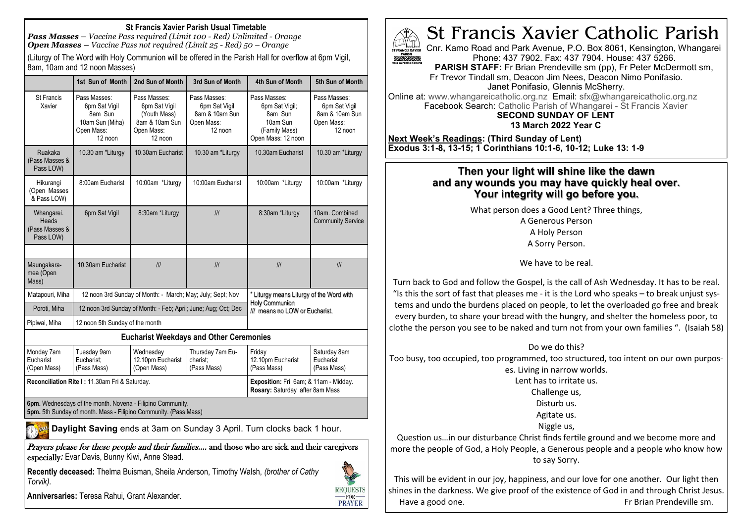## **St Francis Xavier Parish Usual Timetable**

*Pass Masses – Vaccine Pass required (Limit 100 - Red) Unlimited - Orange Open Masses – Vaccine Pass not required (Limit 25 - Red) 50 – Orange*

(Liturgy of The Word with Holy Communion will be offered in the Parish Hall for overflow at 6pm Vigil, 8am, 10am and 12 noon Masses)

|                                                    | 1st Sun of Month                                                                     | 2nd Sun of Month                                                                         | 3rd Sun of Month                                                                                                                                                           | 4th Sun of Month                                                                                    | 5th Sun of Month                                                           |
|----------------------------------------------------|--------------------------------------------------------------------------------------|------------------------------------------------------------------------------------------|----------------------------------------------------------------------------------------------------------------------------------------------------------------------------|-----------------------------------------------------------------------------------------------------|----------------------------------------------------------------------------|
| <b>St Francis</b><br>Xavier                        | Pass Masses:<br>6pm Sat Vigil<br>8am Sun<br>10am Sun (Miha)<br>Open Mass:<br>12 noon | Pass Masses:<br>6pm Sat Vigil<br>(Youth Mass)<br>8am & 10am Sun<br>Open Mass:<br>12 noon | Pass Masses:<br>Pass Masses:<br>6pm Sat Vigil<br>6pm Sat Vigil;<br>8am & 10am Sun<br>8am Sun<br>10am Sun<br>Open Mass:<br>$12$ noon<br>(Family Mass)<br>Open Mass: 12 noon |                                                                                                     | Pass Masses:<br>6pm Sat Vigil<br>8am & 10am Sun<br>Open Mass:<br>$12$ noon |
| Ruakaka<br>(Pass Masses &<br>Pass LOW)             | 10.30 am *Liturgy                                                                    | 10.30am Eucharist                                                                        | 10.30 am *Liturgy                                                                                                                                                          | 10.30am Eucharist                                                                                   | 10.30 am *Liturgy                                                          |
| Hikurangi<br>(Open Masses<br>& Pass LOW)           | 8:00am Eucharist                                                                     | 10:00am *Liturgy                                                                         | 10:00am Eucharist                                                                                                                                                          | 10:00am *Liturgy                                                                                    | 10:00am *Liturgy                                                           |
| Whangarei.<br>Heads<br>(Pass Masses &<br>Pass LOW) | 6pm Sat Vigil                                                                        | 8:30am *Liturgy                                                                          | III                                                                                                                                                                        | 8:30am *Liturgy                                                                                     | 10am. Combined<br><b>Community Service</b>                                 |
|                                                    |                                                                                      |                                                                                          |                                                                                                                                                                            |                                                                                                     |                                                                            |
| Maungakara-<br>mea (Open<br>Mass)                  | 10.30am Eucharist                                                                    | III                                                                                      | III                                                                                                                                                                        | III                                                                                                 | III                                                                        |
| Matapouri, Miha                                    | 12 noon 3rd Sunday of Month: - March; May; July; Sept; Nov                           |                                                                                          |                                                                                                                                                                            | * Liturgy means Liturgy of the Word with<br><b>Holy Communion</b><br>/// means no LOW or Eucharist. |                                                                            |
| Poroti, Miha                                       | 12 noon 3rd Sunday of Month: - Feb; April; June; Aug; Oct; Dec                       |                                                                                          |                                                                                                                                                                            |                                                                                                     |                                                                            |
| Pipiwai, Miha                                      | 12 noon 5th Sunday of the month                                                      |                                                                                          |                                                                                                                                                                            |                                                                                                     |                                                                            |
|                                                    |                                                                                      |                                                                                          | <b>Eucharist Weekdays and Other Ceremonies</b>                                                                                                                             |                                                                                                     |                                                                            |
| Monday 7am                                         | Tuesday 9am                                                                          | Wednesday                                                                                | Thursday 7am Eu-                                                                                                                                                           | Friday                                                                                              | Saturday 8am                                                               |



**6pm.** Wednesdays of the month. Novena - Filipino Community. **5pm.** 5th Sunday of month. Mass - Filipino Community. (Pass Mass)

**Daylight Saving** ends at 3am on Sunday 3 April. Turn clocks back 1 hour.

Prayers please for these people and their families.... and those who are sick and their caregivers especially*:* Evar Davis, Bunny Kiwi, Anne Stead.

**Recently deceased:** Thelma Buisman, Sheila Anderson, Timothy Walsh, *(brother of Cathy Torvik).*



**PRAYER** 

**Anniversaries:** Teresa Rahui, Grant Alexander.



St Francis Xavier Catholic Parish

Cnr. Kamo Road and Park Avenue, P.O. Box 8061, Kensington, Whangarei Phone: 437 7902. Fax: 437 7904. House: 437 5266.

**PARISH STAFF:** Fr Brian Prendeville sm (pp), Fr Peter McDermott sm, Fr Trevor Tindall sm, Deacon Jim Nees, Deacon Nimo Ponifasio.

Janet Ponifasio, Glennis McSherry.

Online at: www.whangareicatholic.org.nz Email: sfx@whangareicatholic.org.nz Facebook Search: Catholic Parish of Whangarei - St Francis Xavier **SECOND SUNDAY OF LENT** 

**13 March 2022 Year C**

**Next Week's Readings: (Third Sunday of Lent) Exodus 3:1-8, 13-15; 1 Corinthians 10:1-6, 10-12; Luke 13: 1-9**

## **Then your light will shine like the dawn and any wounds you may have quickly heal over. Your integrity will go before you.**

What person does a Good Lent? Three things, A Generous Person A Holy Person A Sorry Person.

We have to be real.

Turn back to God and follow the Gospel, is the call of Ash Wednesday. It has to be real. "Is this the sort of fast that pleases me - it is the Lord who speaks – to break unjust systems and undo the burdens placed on people, to let the overloaded go free and break every burden, to share your bread with the hungry, and shelter the homeless poor, to clothe the person you see to be naked and turn not from your own families ". (Isaiah 58)

Do we do this?

Too busy, too occupied, too programmed, too structured, too intent on our own purpos-

es. Living in narrow worlds.

Lent has to irritate us.

Challenge us,

Disturb us.

Agitate us.

Niggle us,

Question us…in our disturbance Christ finds fertile ground and we become more and more the people of God, a Holy People, a Generous people and a people who know how to say Sorry.

This will be evident in our joy, happiness, and our love for one another. Our light then shines in the darkness. We give proof of the existence of God in and through Christ Jesus. Have a good one. The same state of the state of the Free Free Brian Prendeville sm.